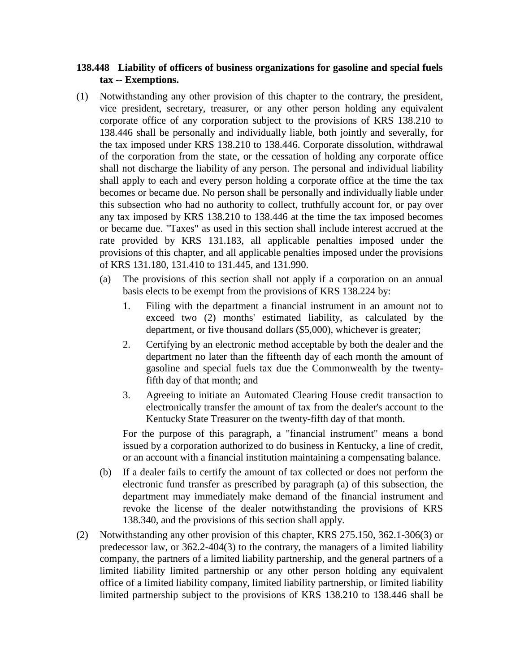## **138.448 Liability of officers of business organizations for gasoline and special fuels tax -- Exemptions.**

- (1) Notwithstanding any other provision of this chapter to the contrary, the president, vice president, secretary, treasurer, or any other person holding any equivalent corporate office of any corporation subject to the provisions of KRS 138.210 to 138.446 shall be personally and individually liable, both jointly and severally, for the tax imposed under KRS 138.210 to 138.446. Corporate dissolution, withdrawal of the corporation from the state, or the cessation of holding any corporate office shall not discharge the liability of any person. The personal and individual liability shall apply to each and every person holding a corporate office at the time the tax becomes or became due. No person shall be personally and individually liable under this subsection who had no authority to collect, truthfully account for, or pay over any tax imposed by KRS 138.210 to 138.446 at the time the tax imposed becomes or became due. "Taxes" as used in this section shall include interest accrued at the rate provided by KRS 131.183, all applicable penalties imposed under the provisions of this chapter, and all applicable penalties imposed under the provisions of KRS 131.180, 131.410 to 131.445, and 131.990.
	- (a) The provisions of this section shall not apply if a corporation on an annual basis elects to be exempt from the provisions of KRS 138.224 by:
		- 1. Filing with the department a financial instrument in an amount not to exceed two (2) months' estimated liability, as calculated by the department, or five thousand dollars (\$5,000), whichever is greater;
		- 2. Certifying by an electronic method acceptable by both the dealer and the department no later than the fifteenth day of each month the amount of gasoline and special fuels tax due the Commonwealth by the twentyfifth day of that month; and
		- 3. Agreeing to initiate an Automated Clearing House credit transaction to electronically transfer the amount of tax from the dealer's account to the Kentucky State Treasurer on the twenty-fifth day of that month.

For the purpose of this paragraph, a "financial instrument" means a bond issued by a corporation authorized to do business in Kentucky, a line of credit, or an account with a financial institution maintaining a compensating balance.

- (b) If a dealer fails to certify the amount of tax collected or does not perform the electronic fund transfer as prescribed by paragraph (a) of this subsection, the department may immediately make demand of the financial instrument and revoke the license of the dealer notwithstanding the provisions of KRS 138.340, and the provisions of this section shall apply.
- (2) Notwithstanding any other provision of this chapter, KRS 275.150, 362.1-306(3) or predecessor law, or 362.2-404(3) to the contrary, the managers of a limited liability company, the partners of a limited liability partnership, and the general partners of a limited liability limited partnership or any other person holding any equivalent office of a limited liability company, limited liability partnership, or limited liability limited partnership subject to the provisions of KRS 138.210 to 138.446 shall be